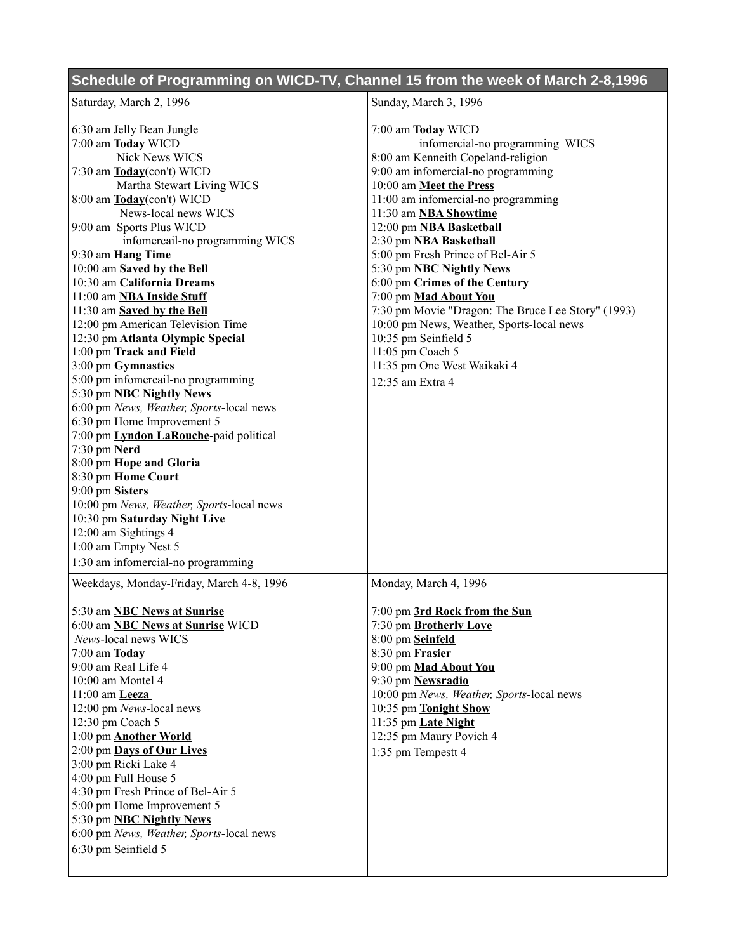## **Schedule of Programming on WICD-TV, Channel 15 from the week of March 2-8,1996**

| Saturday, March 2, 1996                   | Sunday, March 3, 1996                              |
|-------------------------------------------|----------------------------------------------------|
| 6:30 am Jelly Bean Jungle                 | 7:00 am Today WICD                                 |
| 7:00 am Today WICD                        | infomercial-no programming WICS                    |
| Nick News WICS                            | 8:00 am Kenneith Copeland-religion                 |
| 7:30 am Today(con't) WICD                 | 9:00 am infomercial-no programming                 |
| Martha Stewart Living WICS                | 10:00 am Meet the Press                            |
| 8:00 am Today(con't) WICD                 | 11:00 am infomercial-no programming                |
| News-local news WICS                      | 11:30 am NBA Showtime                              |
| 9:00 am Sports Plus WICD                  | 12:00 pm NBA Basketball                            |
| infomercail-no programming WICS           | 2:30 pm NBA Basketball                             |
| 9:30 am Hang Time                         | 5:00 pm Fresh Prince of Bel-Air 5                  |
| 10:00 am Saved by the Bell                | 5:30 pm <b>NBC Nightly News</b>                    |
| 10:30 am California Dreams                | 6:00 pm Crimes of the Century                      |
| 11:00 am NBA Inside Stuff                 | 7:00 pm Mad About You                              |
| 11:30 am Saved by the Bell                | 7:30 pm Movie "Dragon: The Bruce Lee Story" (1993) |
| 12:00 pm American Television Time         | 10:00 pm News, Weather, Sports-local news          |
| 12:30 pm Atlanta Olympic Special          | 10:35 pm Seinfield 5                               |
| 1:00 pm Track and Field                   | 11:05 pm Coach 5                                   |
| 3:00 pm Gymnastics                        | 11:35 pm One West Waikaki 4                        |
| 5:00 pm infomercail-no programming        | 12:35 am Extra 4                                   |
| 5:30 pm <b>NBC Nightly News</b>           |                                                    |
| 6:00 pm News, Weather, Sports-local news  |                                                    |
| 6:30 pm Home Improvement 5                |                                                    |
| 7:00 pm Lyndon LaRouche-paid political    |                                                    |
| 7:30 pm Nerd                              |                                                    |
| 8:00 pm Hope and Gloria                   |                                                    |
| 8:30 pm Home Court                        |                                                    |
| 9:00 pm Sisters                           |                                                    |
| 10:00 pm News, Weather, Sports-local news |                                                    |
| 10:30 pm Saturday Night Live              |                                                    |
| 12:00 am Sightings 4                      |                                                    |
| 1:00 am Empty Nest 5                      |                                                    |
| 1:30 am infomercial-no programming        |                                                    |
| Weekdays, Monday-Friday, March 4-8, 1996  | Monday, March 4, 1996                              |
| 5:30 am <b>NBC News at Sunrise</b>        | 7:00 pm 3rd Rock from the Sun                      |
| 6:00 am <b>NBC News at Sunrise</b> WICD   | 7:30 pm Brotherly Love                             |
| News-local news WICS                      | 8:00 pm Seinfeld                                   |
| $7:00$ am $\underline{\textbf{Today}}$    | 8:30 pm Frasier                                    |
| 9:00 am Real Life 4                       | 9:00 pm Mad About You                              |
| 10:00 am Montel 4                         | 9:30 pm Newsradio                                  |
| 11:00 am Leeza                            | 10:00 pm News, Weather, Sports-local news          |
| 12:00 pm News-local news                  | 10:35 pm Tonight Show                              |
| 12:30 pm Coach 5                          | 11:35 pm Late Night                                |
| 1:00 pm <b>Another World</b>              | 12:35 pm Maury Povich 4                            |
| 2:00 pm Days of Our Lives                 | 1:35 pm Tempestt 4                                 |
| 3:00 pm Ricki Lake 4                      |                                                    |
| 4:00 pm Full House 5                      |                                                    |
| 4:30 pm Fresh Prince of Bel-Air 5         |                                                    |
| 5:00 pm Home Improvement 5                |                                                    |
| 5:30 pm <b>NBC Nightly News</b>           |                                                    |
| 6:00 pm News, Weather, Sports-local news  |                                                    |
| 6:30 pm Seinfield 5                       |                                                    |
|                                           |                                                    |